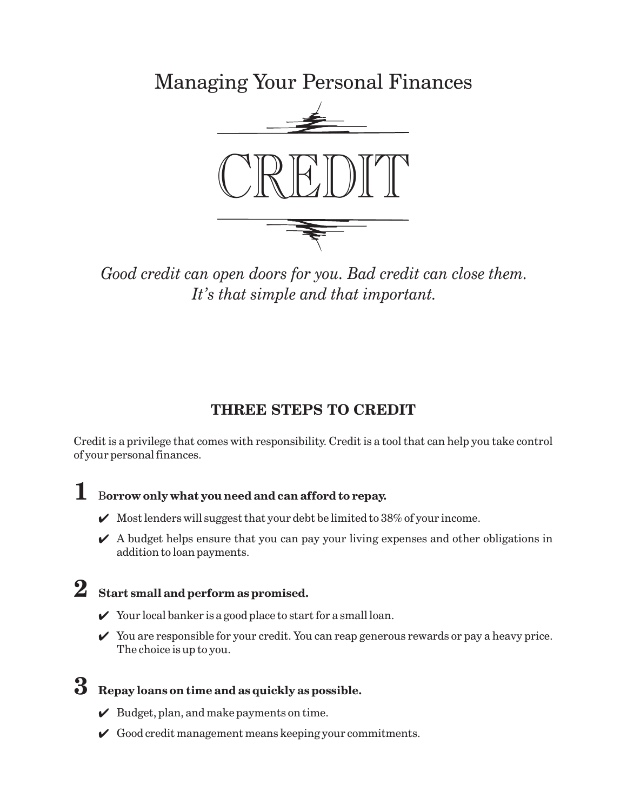Managing Your Personal Finances



*Good credit can open doors for you. Bad credit can close them. It's that simple and that important.*

## **THREE STEPS TO CREDIT**

Credit is a privilege that comes with responsibility. Credit is a tool that can help you take control of your personal finances.

# $\mathbf 1$  Borrow only what you need and can afford to repay.

- $\mathcal V$  Most lenders will suggest that your debt be limited to 38% of your income.
- $\blacktriangleright$  A budget helps ensure that you can pay your living expenses and other obligations in addition to loan payments.

# **2 Start small and perform as promised.**

- $\checkmark$  Your local banker is a good place to start for a small loan.
- $\checkmark$  You are responsible for your credit. You can reap generous rewards or pay a heavy price. The choice is up to you.

# **3 Repay loans on time and as quickly as possible.**

- $\mathcal V$  Budget, plan, and make payments on time.
- $\checkmark$  Good credit management means keeping your commitments.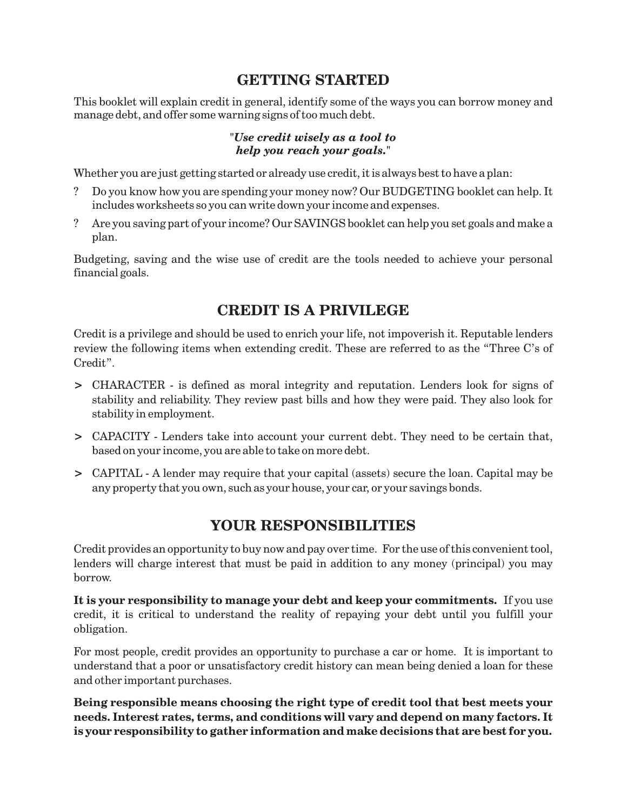## **GETTING STARTED**

This booklet will explain credit in general, identify some of the ways you can borrow money and manage debt, and offer some warning signs of too much debt.

#### *"Use credit wisely as a tool to help you reach your goals."*

Whether you are just getting started or already use credit, it is always best to have a plan:

- ? Do you know how you are spending your money now? Our BUDGETING booklet can help. It includes worksheets so you can write down your income and expenses.
- ? Are you saving part of your income? Our SAVINGS booklet can help you set goals and make a plan.

Budgeting, saving and the wise use of credit are the tools needed to achieve your personal financial goals.

## **CREDIT IS A PRIVILEGE**

Credit is a privilege and should be used to enrich your life, not impoverish it. Reputable lenders review the following items when extending credit. These are referred to as the "Three C's of Credit".

- CHARACTER is defined as moral integrity and reputation. Lenders look for signs of **>** stability and reliability. They review past bills and how they were paid. They also look for stability in employment.
- CAPACITY Lenders take into account your current debt. They need to be certain that, **>** based on your income, you are able to take on more debt.
- CAPITAL A lender may require that your capital (assets) secure the loan. Capital may be **>** any property that you own, such as your house, your car, or your savings bonds.

## **YOUR RESPONSIBILITIES**

Credit provides an opportunity to buy now and pay over time. For the use of this convenient tool, lenders will charge interest that must be paid in addition to any money (principal) you may borrow.

**It is your responsibility to manage your debt and keep your commitments.** If you use credit, it is critical to understand the reality of repaying your debt until you fulfill your obligation.

For most people, credit provides an opportunity to purchase a car or home. It is important to understand that a poor or unsatisfactory credit history can mean being denied a loan for these and other important purchases.

**Being responsible means choosing the right type of credit tool that best meets your needs. Interest rates, terms, and conditions will vary and depend on many factors. It is your responsibility to gather information and make decisions that are best for you.**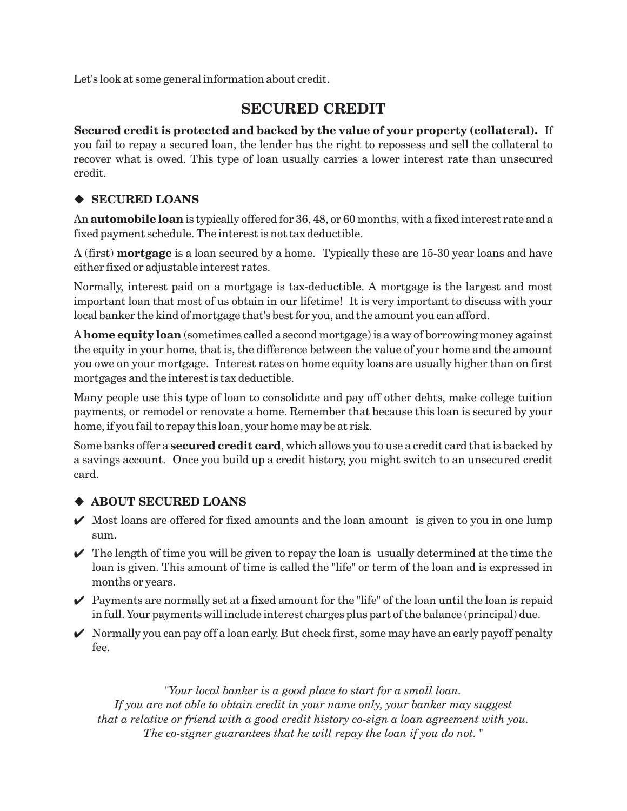Let's look at some general information about credit.

## **SECURED CREDIT**

**Secured credit is protected and backed by the value of your property (collateral).** If you fail to repay a secured loan, the lender has the right to repossess and sell the collateral to recover what is owed. This type of loan usually carries a lower interest rate than unsecured credit.

### **SECURED LOANS**

An  $\bm{\text{automobile loan}}$  is typically offered for 36, 48, or 60 months, with a fixed interest rate and a fixed payment schedule. The interest is not tax deductible.

A (first) **mortgage** is a loan secured by a home. Typically these are 15-30 year loans and have either fixed or adjustable interest rates.

Normally, interest paid on a mortgage is tax-deductible. A mortgage is the largest and most important loan that most of us obtain in our lifetime! It is very important to discuss with your local banker the kind of mortgage that's best for you, and the amount you can afford.

A **home equity loan** (sometimes called a second mortgage) is a way of borrowing money against the equity in your home, that is, the difference between the value of your home and the amount you owe on your mortgage. Interest rates on home equity loans are usually higher than on first mortgages and the interest is tax deductible.

Many people use this type of loan to consolidate and pay off other debts, make college tuition payments, or remodel or renovate a home. Remember that because this loan is secured by your home, if you fail to repay this loan, your home may be at risk.

Some banks offer a **secured credit card**, which allows you to use a credit card that is backed by a savings account. Once you build up a credit history, you might switch to an unsecured credit card.

### **ABOUT SECURED LOANS**

- $\mathcal V$  Most loans are offered for fixed amounts and the loan amount is given to you in one lump sum.
- $\blacktriangleright$  The length of time you will be given to repay the loan is usually determined at the time the loan is given. This amount of time is called the "life" or term of the loan and is expressed in months or years.
- $\mathcal V$  Payments are normally set at a fixed amount for the "life" of the loan until the loan is repaid in full. Your payments will include interest charges plus part of the balance (principal) due.
- $\checkmark$  Normally you can pay off a loan early. But check first, some may have an early payoff penalty fee.

*"Your local banker is a good place to start for a small loan. If you are not able to obtain credit in your name only, your banker may suggest that a relative or friend with a good credit history co-sign a loan agreement with you. The co-signer guarantees that he will repay the loan if you do not. "*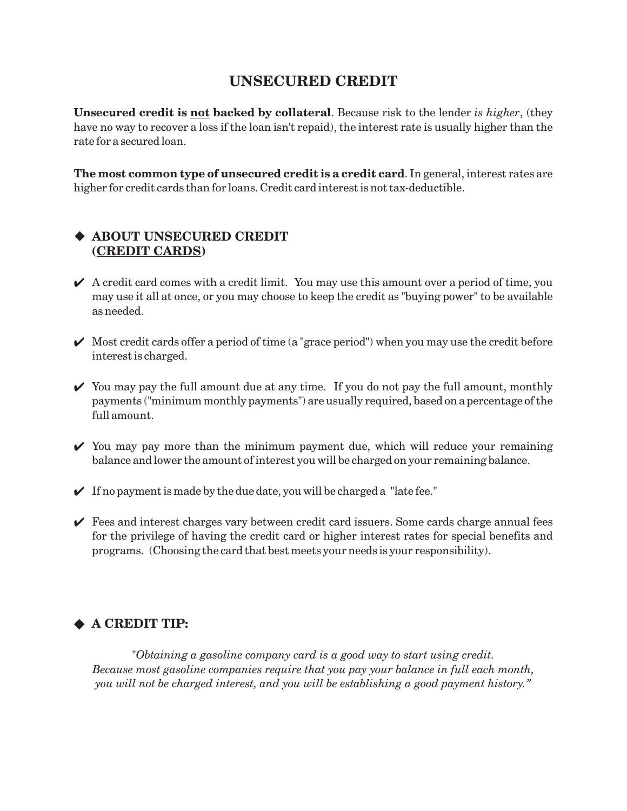## **UNSECURED CREDIT**

**Unsecured credit is <u>not</u> backed by collateral**. Because risk to the lender is higher, (they have no way to recover a loss if the loan isn't repaid), the interest rate is usually higher than the rate for a secured loan.

**The most common type of unsecured credit is a credit card** . In general, interest rates are higher for credit cards than for loans. Credit card interest is not tax-deductible.

### **ABOUT UNSECURED CREDIT ( ) CREDIT CARDS**

- $\blacktriangleright$  A credit card comes with a credit limit. You may use this amount over a period of time, you may use it all at once, or you may choose to keep the credit as "buying power" to be available as needed.
- $\mathcal V$  Most credit cards offer a period of time (a "grace period") when you may use the credit before interest is charged.
- $\checkmark$  You may pay the full amount due at any time. If you do not pay the full amount, monthly payments ("minimum monthly payments") are usually required, based on a percentage of the full amount.
- $\checkmark$  You may pay more than the minimum payment due, which will reduce your remaining balance and lower the amount of interest you will be charged on your remaining balance.
- $\checkmark$  If no payment is made by the due date, you will be charged a "late fee."
- $\checkmark$  Fees and interest charges vary between credit card issuers. Some cards charge annual fees for the privilege of having the credit card or higher interest rates for special benefits and programs. (Choosing the card that best meets your needs is your responsibility).

### ◆ A CREDIT TIP:

*"Obtaining a gasoline company card is a good way to start using credit. Because most gasoline companies require that you pay your balance in full each month, you will not be charged interest, and you will be establishing a good payment history."*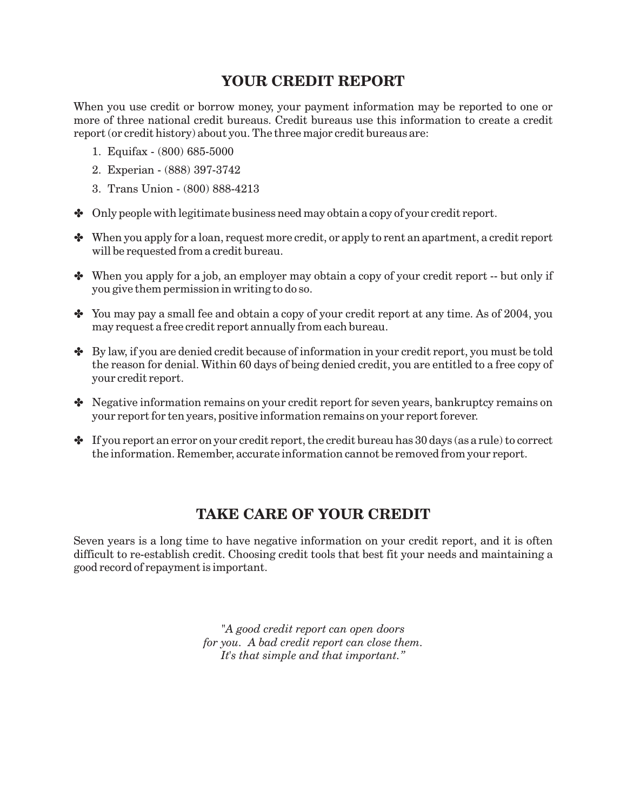## **YOUR CREDIT REPORT**

When you use credit or borrow money, your payment information may be reported to one or more of three national credit bureaus. Credit bureaus use this information to create a credit report (or credit history) about you. The three major credit bureaus are:

- 1. Equifax (800) 685-5000
- 2. Experian (888) 397-3742
- 3. Trans Union (800) 888-4213
- Only people with legitimate business need may obtain a copy of your credit report.
- When you apply for a loan, request more credit, or apply to rent an apartment, a credit report will be requested from a credit bureau.
- When you apply for a job, an employer may obtain a copy of your credit report -- but only if you give them permission in writing to do so.
- You may pay a small fee and obtain a copy of your credit report at any time. As of 2004, you may request a free credit report annually from each bureau.
- By law, if you are denied credit because of information in your credit report, you must be told the reason for denial. Within 60 days of being denied credit, you are entitled to a free copy of your credit report.
- Negative information remains on your credit report for seven years, bankruptcy remains on your report for ten years, positive information remains on your report forever.
- $\clubsuit$  If you report an error on your credit report, the credit bureau has 30 days (as a rule) to correct the information. Remember, accurate information cannot be removed from your report.

## **TAKE CARE OF YOUR CREDIT**

Seven years is a long time to have negative information on your credit report, and it is often difficult to re-establish credit. Choosing credit tools that best fit your needs and maintaining a good record of repayment is important.

> *"A good credit report can open doors for you. A bad credit report can close them. It's that simple and that important."*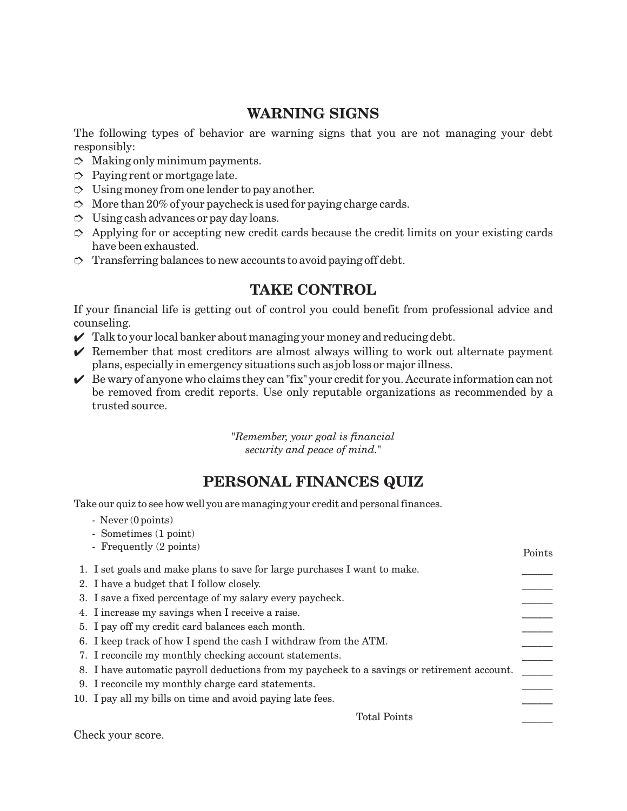## **WARNING SIGNS**

The following types of behavior are warning signs that you are not managing your debt responsibly:

- $\heartsuit$  Making only minimum payments.
- $\Rightarrow$  Paying rent or mortgage late.
- $\heartsuit$  Using money from one lender to pay another.
- $\heartsuit$  More than 20% of your paycheck is used for paying charge cards.
- $\heartsuit$  Using cash advances or pay day loans.
- $\Rightarrow$  Applying for or accepting new credit cards because the credit limits on your existing cards have been exhausted.
- $\heartsuit$  Transferring balances to new accounts to avoid paying off debt.

## **TAKE CONTROL**

If your financial life is getting out of control you could benefit from professional advice and counseling.

- $\mathcal Y$  Talk to your local banker about managing your money and reducing debt.
- $\mathcal V$  Remember that most creditors are almost always willing to work out alternate payment plans, especially in emergency situations such as job loss or major illness.
- $\mathcal V$  Be wary of anyone who claims they can "fix" your credit for you. Accurate information can not be removed from credit reports. Use only reputable organizations as recommended by a trusted source.

*"Remember, your goal is financial security and peace of mind."*

## **PERSONAL FINANCES QUIZ**

Take our quiz to see how well you are managing your credit and personal finances.

- Never (0 points)
- Sometimes (1 point)

| - Frequently (2 points)                                                                     | Points |
|---------------------------------------------------------------------------------------------|--------|
| 1. I set goals and make plans to save for large purchases I want to make.                   |        |
| 2. I have a budget that I follow closely.                                                   |        |
| 3. I save a fixed percentage of my salary every paycheck.                                   |        |
| 4. I increase my savings when I receive a raise.                                            |        |
| 5. I pay off my credit card balances each month.                                            |        |
| 6. I keep track of how I spend the cash I withdraw from the ATM.                            |        |
| 7. I reconcile my monthly checking account statements.                                      |        |
| 8. I have automatic payroll deductions from my paycheck to a savings or retirement account. |        |
| 9. I reconcile my monthly charge card statements.                                           |        |
| 10. I pay all my bills on time and avoid paying late fees.                                  |        |
| <b>Total Points</b>                                                                         |        |

Check your score.